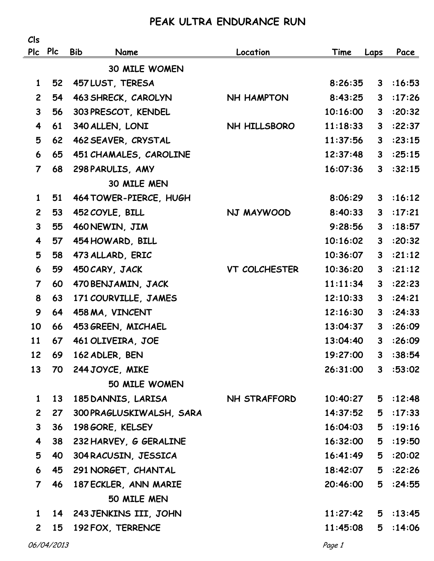## **PEAK ULTRA ENDURANCE RUN**

| Cls                     |            |                          |                     |          |              |           |
|-------------------------|------------|--------------------------|---------------------|----------|--------------|-----------|
|                         | Plc Plc    | <b>Bib</b><br>Name       | Location            | Time     | Laps         | Pace      |
|                         |            | <b>30 MILE WOMEN</b>     |                     |          |              |           |
| $\mathbf{1}$            | 52         | 457 LUST, TERESA         |                     | 8:26:35  | 3            | :16:53    |
| $\overline{2}$          | 54         | 463 SHRECK, CAROLYN      | <b>NH HAMPTON</b>   | 8:43:25  | $\mathbf{3}$ | :17:26    |
| $\mathbf{3}$            | 56         | 303 PRESCOT, KENDEL      |                     | 10:16:00 | $\mathbf{3}$ | :20:32    |
| $\overline{\mathbf{4}}$ | 61         | 340 ALLEN, LONI          | NH HILLSBORO        | 11:18:33 | 3            | :22:37    |
| 5                       | 62         | 462 SEAVER, CRYSTAL      |                     | 11:37:56 | 3            | :23:15    |
| 6                       | 65         | 451 CHAMALES, CAROLINE   |                     | 12:37:48 | $\mathbf{3}$ | :25:15    |
| $\overline{7}$          | 68         | 298 PARULIS, AMY         |                     | 16:07:36 | $\mathbf{3}$ | :32:15    |
|                         |            | 30 MILE MEN              |                     |          |              |           |
| $\mathbf{1}$            | 51         | 464 TOWER-PIERCE, HUGH   |                     | 8:06:29  | 3            | :16:12    |
| $\overline{2}$          | 53         | 452 COYLE, BILL          | NJ MAYWOOD          | 8:40:33  | $\mathbf{3}$ | :17:21    |
| $\mathbf{3}$            | 55         | 460 NEWIN, JIM           |                     | 9:28:56  | $\mathbf{3}$ | :18:57    |
| 4                       | 57         | 454 HOWARD, BILL         |                     | 10:16:02 | $\mathbf{3}$ | :20:32    |
| 5                       | 58         | 473 ALLARD, ERIC         |                     | 10:36:07 | 3            | :21:12    |
| 6                       | 59         | 450 CARY, JACK           | VT COLCHESTER       | 10:36:20 | $\mathbf{3}$ | :21:12    |
| $\overline{7}$          | 60         | 470 BENJAMIN, JACK       |                     | 11:11:34 | 3            | :22:23    |
| 8                       | 63         | 171 COURVILLE, JAMES     |                     | 12:10:33 | 3            | :24:21    |
| 9                       | 64         | 458 MA, VINCENT          |                     | 12:16:30 | 3            | :24:33    |
| 10                      | 66         | 453 GREEN, MICHAEL       |                     | 13:04:37 | 3            | :26:09    |
| 11                      | 67         | 461 OLIVEIRA, JOE        |                     | 13:04:40 | 3            | :26:09    |
| 12                      | 69         | 162 ADLER, BEN           |                     | 19:27:00 | 3            | :38:54    |
| 13                      | 70         | 244 JOYCE, MIKE          |                     | 26:31:00 |              | 3 : 53:02 |
|                         |            | 50 MILE WOMEN            |                     |          |              |           |
| $\mathbf{1}$            | 13         | 185 DANNIS, LARISA       | <b>NH STRAFFORD</b> | 10:40:27 |              | 5:12:48   |
| $\overline{2}$          | 27         | 300 PRAGLUSKIWALSH, SARA |                     | 14:37:52 | 5            | :17:33    |
| $\mathbf{3}$            | 36         | 198 GORE, KELSEY         |                     | 16:04:03 | 5            | :19:16    |
| $\overline{\mathbf{4}}$ | 38         | 232 HARVEY, G GERALINE   |                     | 16:32:00 | 5            | :19:50    |
| 5                       | 40         | 304 RACUSIN, JESSICA     |                     | 16:41:49 | 5            | :20:02    |
| 6                       | 45         | 291 NORGET, CHANTAL      |                     | 18:42:07 | 5            | :22:26    |
| $\overline{7}$          | 46         | 187 ECKLER, ANN MARIE    |                     | 20:46:00 | 5            | :24:55    |
|                         |            | 50 MILE MEN              |                     |          |              |           |
| $\mathbf{1}$            | 14         | 243 JENKINS III, JOHN    |                     | 11:27:42 |              | 5:13:45   |
| $2^{\circ}$             | 15         | 192 FOX, TERRENCE        |                     | 11:45:08 | 5            | :14:06    |
|                         | 06/04/2013 |                          |                     | Page 1   |              |           |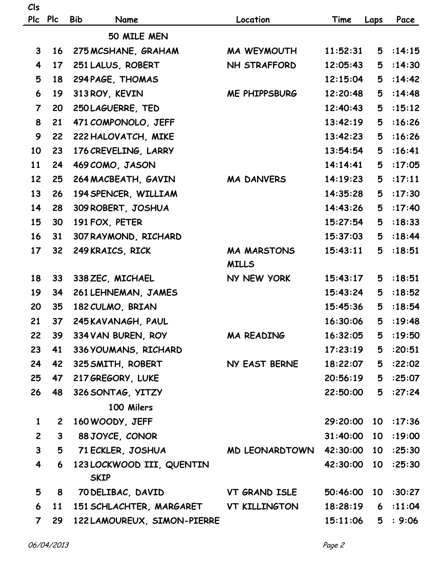| Cls                     |                 |                                          |                      |            |                 |         |
|-------------------------|-----------------|------------------------------------------|----------------------|------------|-----------------|---------|
| <b>Plc</b>              | <b>Plc</b>      | <b>Bib</b><br>Name                       | Location             | Time       | Laps            | Pace    |
|                         |                 | 50 MILE MEN                              |                      |            |                 |         |
| $\mathbf{3}$            | 16              | 275 MCSHANE, GRAHAM                      | <b>MA WEYMOUTH</b>   | 11:52:31   | 5               | :14:15  |
| 4                       | 17              | 251 LALUS, ROBERT                        | <b>NH STRAFFORD</b>  | 12:05:43   | 5               | :14:30  |
| 5                       | 18              | 294 PAGE, THOMAS                         |                      | 12:15:04   | 5               | :14:42  |
| 6                       | 19              | 313 ROY, KEVIN                           | <b>ME PHIPPSBURG</b> | 12:20:48   | 5               | :14:48  |
| $\overline{7}$          | 20              | 250 LAGUERRE, TED                        |                      | 12:40:43   | 5               | :15:12  |
| 8                       | 21              | 471 COMPONOLO, JEFF                      |                      | 13:42:19   | 5               | :16:26  |
| 9                       | 22              | 222 HALOVATCH, MIKE                      |                      | 13:42:23   | 5               | :16:26  |
| 10                      | 23              | 176 CREVELING, LARRY                     |                      | 13:54:54   | 5               | :16:41  |
| 11                      | 24              | 469 COMO, JASON                          |                      | 14:14:41   | 5               | :17:05  |
| 12                      | 25              | 264 MACBEATH, GAVIN                      | <b>MA DANVERS</b>    | 14:19:23   | 5               | :17:11  |
| 13                      | 26              | 194 SPENCER, WILLIAM                     |                      | 14:35:28   | 5               | :17:30  |
| 14                      | 28              | 309 ROBERT, JOSHUA                       |                      | 14:43:26   | 5               | :17:40  |
| 15                      | 30              | 191 FOX, PETER                           |                      | 15:27:54   | 5               | :18:33  |
| 16                      | 31              | 307 RAYMOND, RICHARD                     |                      | 15:37:03   | 5               | :18:44  |
| 17                      | 32              | 249 KRAICS, RICK                         | <b>MA MARSTONS</b>   | 15:43:11   | 5               | :18:51  |
|                         |                 |                                          | <b>MILLS</b>         |            |                 |         |
| 18                      | 33              | 338 ZEC, MICHAEL                         | NY NEW YORK          | 15:43:17   | 5               | :18:51  |
| 19                      | 34              | 261 LEHNEMAN, JAMES                      |                      | 15:43:24   | 5               | :18:52  |
| 20                      | 35              | 182 CULMO, BRIAN                         |                      | 15:45:36   | 5               | :18:54  |
| 21                      | 37 <sub>2</sub> | 245 KAVANAGH, PAUL                       |                      | 16:30:06 5 |                 | :19:48  |
| 22                      | 39              | 334 VAN BUREN, ROY                       | MA READING           | 16:32:05   | 5               | :19:50  |
| 23                      | 41              | 336 YOUMANS, RICHARD                     |                      | 17:23:19   | 5               | :20:51  |
| 24                      | 42              | 325 SMITH, ROBERT                        | NY EAST BERNE        | 18:22:07   | 5               | :22:02  |
| 25                      | 47              | 217 GREGORY, LUKE                        |                      | 20:56:19   | 5               | :25:07  |
| 26                      | 48              | 326 SONTAG, YITZY                        |                      | 22:50:00   | 5               | :27:24  |
|                         |                 | 100 Milers                               |                      |            |                 |         |
| $\mathbf{1}$            | $\mathbf{2}$    | 160 WOODY, JEFF                          |                      | 29:20:00   | 10              | :17:36  |
| $\overline{2}$          | 3 <sup>1</sup>  | 88 JOYCE, CONOR                          |                      | 31:40:00   | 10              | :19:00  |
| $\mathbf{3}$            | 5               | 71 ECKLER, JOSHUA                        | MD LEONARDTOWN       | 42:30:00   | 10 <sub>1</sub> | :25:30  |
| $\overline{\mathbf{4}}$ | 6               | 123 LOCKWOOD III, QUENTIN<br><b>SKIP</b> |                      | 42:30:00   | 10              | :25:30  |
| 5                       | 8               | 70 DELIBAC, DAVID                        | VT GRAND ISLE        | 50:46:00   | 10              | :30:27  |
| 6                       | <b>11</b>       | 151 SCHLACHTER, MARGARET                 | VT KILLINGTON        | 18:28:19   | 6               | : 11:04 |
| $\overline{7}$          | 29              | 122 LAMOUREUX, SIMON-PIERRE              |                      | 15:11:06   | 5               | : 9:06  |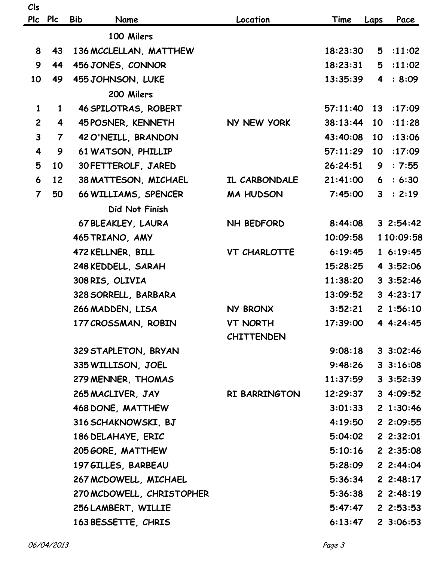|                         | Plc Plc        | <b>Bib</b><br>Name        | Location            | Time     | Laps           | Pace              |
|-------------------------|----------------|---------------------------|---------------------|----------|----------------|-------------------|
|                         |                | 100 Milers                |                     |          |                |                   |
| 8                       | 43             | 136 MCCLELLAN, MATTHEW    |                     | 18:23:30 | 5              | : 11:02           |
| 9                       | 44             | 456 JONES, CONNOR         |                     | 18:23:31 | 5              | :11:02            |
| 10                      | 49             | 455 JOHNSON, LUKE         |                     | 13:35:39 | $\overline{4}$ | : 8:09            |
|                         |                | 200 Milers                |                     |          |                |                   |
| $\mathbf{1}$            | $\mathbf{1}$   | 46 SPILOTRAS, ROBERT      |                     | 57:11:40 | 13             | :17:09            |
| $\overline{2}$          | 4              | 45 POSNER, KENNETH        | NY NEW YORK         | 38:13:44 | 10             | :11:28            |
| $\mathbf{3}$            | $\overline{7}$ | 42 O'NEILL, BRANDON       |                     | 43:40:08 | $10-10$        | :13:06            |
| $\overline{\mathbf{4}}$ | 9              | 61 WATSON, PHILLIP        |                     | 57:11:29 | 10             | :17:09            |
| 5                       | 10             | 30 FETTEROLF, JARED       |                     | 26:24:51 | 9              | : 7:55            |
| 6                       | 12             | 38 MATTESON, MICHAEL      | IL CARBONDALE       | 21:41:00 | 6              | : 6:30            |
| $\overline{7}$          | 50             | 66 WILLIAMS, SPENCER      | <b>MA HUDSON</b>    | 7:45:00  | $\mathbf{3}$   | : 2:19            |
|                         |                | Did Not Finish            |                     |          |                |                   |
|                         |                | 67 BLEAKLEY, LAURA        | NH BEDFORD          | 8:44:08  |                | 32:54:42          |
|                         |                | 465 TRIANO, AMY           |                     | 10:09:58 |                | 1 10:09:58        |
|                         |                | 472 KELLNER, BILL         | <b>VT CHARLOTTE</b> | 6:19:45  |                | 16:19:45          |
|                         |                | 248 KEDDELL, SARAH        |                     | 15:28:25 |                | 4 3:52:06         |
|                         |                | 308 RIS, OLIVIA           |                     | 11:38:20 |                | 3.3:52:46         |
|                         |                | 328 SORRELL, BARBARA      |                     | 13:09:52 |                | 34:23:17          |
|                         |                | 266 MADDEN, LISA          | NY BRONX            | 3:52:21  |                | 21:56:10          |
|                         |                | 177 CROSSMAN, ROBIN       | <b>VT NORTH</b>     | 17:39:00 |                | 4 4:24:45         |
|                         |                |                           | <b>CHITTENDEN</b>   |          |                |                   |
|                         |                | 329 STAPLETON, BRYAN      |                     | 9:08:18  |                | $3 \cdot 3:02:46$ |
|                         |                | 335 WILLISON, JOEL        |                     | 9:48:26  |                | $3 \cdot 3:16:08$ |
|                         |                | 279 MENNER, THOMAS        |                     | 11:37:59 |                | 3.3:52:39         |
|                         |                | 265 MACLIVER, JAY         | RI BARRINGTON       | 12:29:37 |                | 34:09:52          |
|                         |                | 468 DONE, MATTHEW         |                     | 3:01:33  |                | 21:30:46          |
|                         |                | 316 SCHAKNOWSKI, BJ       |                     | 4:19:50  |                | 2 2:09:55         |
|                         |                | 186 DELAHAYE, ERIC        |                     | 5:04:02  |                | $2 \; 2:32:01$    |
|                         |                | 205 GORE, MATTHEW         |                     | 5:10:16  |                | 22:35:08          |
|                         |                | 197 GILLES, BARBEAU       |                     | 5:28:09  |                | 22:44:04          |
|                         |                | 267 MCDOWELL, MICHAEL     |                     | 5:36:34  |                | 22:48:17          |
|                         |                | 270 MCDOWELL, CHRISTOPHER |                     | 5:36:38  |                | 22:48:19          |
|                         |                | 256 LAMBERT, WILLIE       |                     | 5:47:47  |                | 22:53:53          |

 **163 BESSETTE, CHRIS 163 BESSETTE, CHRIS** 

**Cls**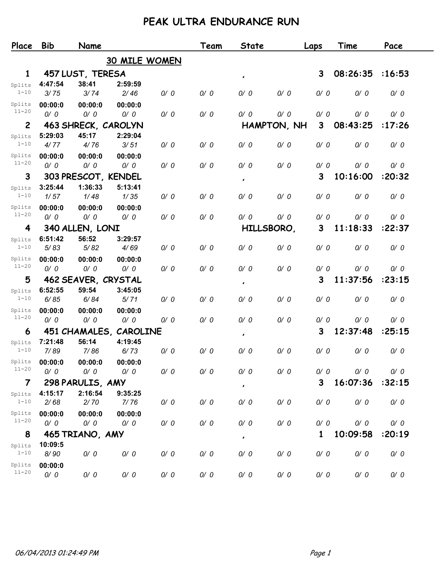## **PEAK ULTRA ENDURANCE RUN**

| Place                   | <b>Bib</b> | Name                |                        |     | Team | <b>State</b>   |             | Laps         | Time     | Pace   |
|-------------------------|------------|---------------------|------------------------|-----|------|----------------|-------------|--------------|----------|--------|
|                         |            |                     | <b>30 MILE WOMEN</b>   |     |      |                |             |              |          |        |
| 1                       |            | 457 LUST, TERESA    |                        |     |      | $\pmb{\cdot}$  |             | 3            | 08:26:35 | :16:53 |
| Splits                  | 4:47:54    | 38:41               | 2:59:59                |     |      |                |             |              |          |        |
| $1 - 10$                | 3/75       | 3/74                | 2/46                   | 0/0 | 0/0  | 0/0            | 0/0         | 0/0          | 0/0      | 0/0    |
| Splits                  | 00:00:0    | 00:00:0             | 00:00:0                |     |      |                |             |              |          |        |
| $11 - 20$               | 0/0        | 0/0                 | 0/0                    | 0/0 | 0/0  | 0/0            | 0/0         | 0/0          | 0/0      | 0/0    |
| $\overline{2}$          |            | 463 SHRECK, CAROLYN |                        |     |      |                | HAMPTON, NH | 3            | 08:43:25 | :17:26 |
| Splits                  | 5:29:03    | 45:17               | 2:29:04                |     |      |                |             |              |          |        |
| $1 - 10$                | 4/77       | 4/76                | 3/51                   | 0/0 | 0/0  | 0/0            | 0/0         | 0/0          | 0/0      | 0/0    |
| Splits                  | 00:00:0    | 00:00:0             | 00:00:0                |     |      |                |             |              |          |        |
| $11 - 20$               | 0/0        | 0/0                 | 0/0                    | 0/0 | 0/0  | 0/0            | 0/0         | 0/0          | 0/0      | 0/0    |
| 3                       |            | 303 PRESCOT, KENDEL |                        |     |      | $\pmb{\prime}$ |             | 3            | 10:16:00 | :20:32 |
| Splits                  | 3:25:44    | 1:36:33             | 5:13:41                |     |      |                |             |              |          |        |
| $1 - 10$                | 1/57       | 1/48                | 1/35                   | 0/0 | 0/0  | 0/0            | 0/0         | 0/0          | 0/0      | 0/0    |
| Splits                  | 00:00:0    | 00:00:0             | 00:00:0                |     |      |                |             |              |          |        |
| $11 - 20$               | 0/0        | 0/0                 | 0/0                    | 0/0 | 0/0  | 0/0            | 0/0         | 0/0          | 0/0      | 0/0    |
| 4                       |            | 340 ALLEN, LONI     |                        |     |      | HILLSBORO,     |             | 3            | 11:18:33 | :22:37 |
| Splits                  | 6:51:42    | 56:52               | 3:29:57                |     |      |                |             |              |          |        |
| $1 - 10$                | 5/83       | 5/82                | 4/69                   | 0/0 | 0/0  | 0/0            | 0/0         | 0/0          | 0/0      | 0/0    |
| Splits                  | 00:00:0    | 00:00:0             | 00:00:0                |     |      |                |             |              |          |        |
| $11 - 20$               | 0/0        | 0/0                 | 0/0                    | 0/0 | 0/0  | 0/0            | 0/0         | 0/0          | 0/0      | 0/0    |
| 5                       |            | 462 SEAVER, CRYSTAL |                        |     |      | $\pmb{\cdot}$  |             | 3            | 11:37:56 | :23:15 |
| Splits                  | 6:52:55    | 59:54               | 3:45:05                |     |      |                |             |              |          |        |
| $1 - 10$                | 6/85       | 6/84                | 5/71                   | 0/0 | 0/0  | 0/0            | 0/0         | 0/0          | 0/0      | 0/0    |
| Splits                  | 00:00:0    | 00:00:0             | 00:00:0                |     |      |                |             |              |          |        |
| $11 - 20$               | 0/0        | 0/0                 | 0/0                    | 0/0 | 0/0  | 0/0            | 0/0         | 0/0          | 0/0      | 0/0    |
| 6                       |            |                     | 451 CHAMALES, CAROLINE |     |      | $\pmb{\cdot}$  |             | 3            | 12:37:48 | :25:15 |
| Splits                  | 7:21:48    | 56:14               | 4:19:45                |     |      |                |             |              |          |        |
| $1 - 10$                | 7/89       | 7/86                | 6/73                   | 0/0 | 0/0  | 0/0            | 0/0         | 0/0          | 0/0      | 0/0    |
| Splits                  | 00:00:0    | 00:00:0             | 00:00:0                |     |      |                |             |              |          |        |
| $11 - 20$               | 0/0        | 0/0                 | 0/0                    | 0/0 | 0/0  | 0/0            | 0/0         | 0/0          | 0/0      | 0/0    |
| $\overline{\mathbf{7}}$ |            | 298 PARULIS, AMY    |                        |     |      | $\pmb{\cdot}$  |             | $\mathbf{3}$ | 16:07:36 | :32:15 |
| Splits                  | 4:15:17    | 2:16:54             | 9:35:25                |     |      |                |             |              |          |        |
| $1 - 10$                | 2/68       | 2/70                | 7/76                   | 0/0 | 0/0  | 0/0            | 0/0         | 0/0          | 0/0      | 0/0    |
| Splits                  | 00:00:0    | 00:00:0             | 00:00:0                |     |      |                |             |              |          |        |
| $11 - 20$               | 0/0        | 0/0                 | 0/0                    | 0/0 | 0/0  | 0/0            | 0/0         | 0/0          | 0/0      | 0/0    |
| 8                       |            | 465 TRIANO, AMY     |                        |     |      | $\pmb{\cdot}$  |             | $\mathbf{1}$ | 10:09:58 | :20:19 |
| Splits                  | 10:09:5    |                     |                        |     |      |                |             |              |          |        |
| $1 - 10$                | 8/90       | 0/0                 | 0/0                    | 0/0 | 0/0  | 0/0            | 0/0         | 0/0          | 0/0      | 0/0    |
| Splits                  | 00:00:0    |                     |                        |     |      |                |             |              |          |        |
| $11 - 20$               | 0/0        | 0/0                 | 0/0                    | 0/0 | 0/0  | 0/0            | 0/0         | 0/0          | 0/0      | 0/0    |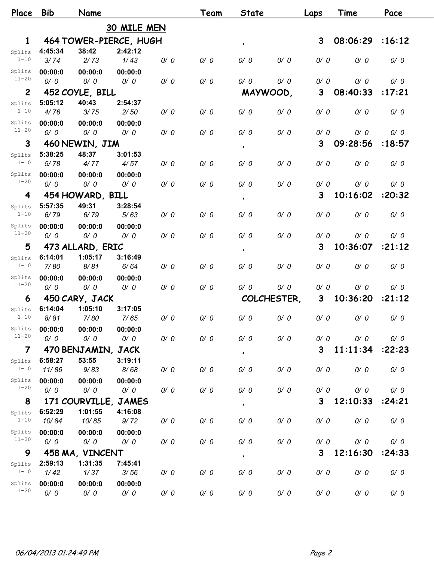| Place                   | <b>Bib</b>      | Name                        |                        |     | Team | <b>State</b>   |             | Laps | Time     | Pace   |
|-------------------------|-----------------|-----------------------------|------------------------|-----|------|----------------|-------------|------|----------|--------|
|                         |                 |                             | 30 MILE MEN            |     |      |                |             |      |          |        |
| $\mathbf{1}$            |                 |                             | 464 TOWER-PIERCE, HUGH |     |      | $\pmb{\cdot}$  |             | 3    | 08:06:29 | :16:12 |
| Splits                  | 4:45:34         | 38:42                       | 2:42:12                |     |      |                |             |      |          |        |
| $1 - 10$                | 3/74            | 2/73                        | 1/43                   | 0/0 | 0/0  | 0/0            | 0/0         | 0/0  | 0/0      | 0/0    |
| Splits                  | 00:00:0         | 00:00:0                     | 00:00:0                |     |      |                |             |      |          |        |
| $11 - 20$               | 0/0             | 0/0                         | 0/0                    | 0/0 | 0/0  | 0/0            | 0/0         | 0/0  | 0/0      | 0/0    |
| $\mathbf{2}$            |                 | 452 COYLE, BILL             |                        |     |      | MAYWOOD,       |             | 3    | 08:40:33 | :17:21 |
| Splits                  | 5:05:12         | 40:43                       | 2:54:37                |     |      |                |             |      |          |        |
| $1 - 10$                | 4/76            | 3/75                        | 2/50                   | 0/0 | 0/0  | 0/0            | 0/0         | 0/0  | 0/0      | 0/0    |
| Splits<br>$11 - 20$     | 00:00:0         | 00:00:0                     | 00:00:0                |     |      |                |             |      |          |        |
|                         | 0/0             | 0/0                         | 0/0                    | 0/0 | 0/0  | 0/0            | 0/0         | 0/0  | 0/0      | 0/0    |
| 3                       |                 | 460 NEWIN, JIM              |                        |     |      | $\pmb{\cdot}$  |             | 3    | 09:28:56 | :18:57 |
| Splits                  | 5:38:25         | 48:37                       | 3:01:53                |     |      |                |             |      |          |        |
| $1 - 10$                | 5/78            | 4/77                        | 4/57                   | 0/0 | 0/0  | 0/0            | 0/0         | 0/0  | 0/0      | 0/0    |
| Splits<br>$11 - 20$     | 00:00:0         | 00:00:0                     | 00:00:0                |     |      |                |             |      |          |        |
|                         | 0/0             | 0/0                         | 0/0                    | 0/0 | 0/0  | 0/0            | 0/0         | 0/0  | 0/0      | 0/0    |
| 4                       |                 | 454 HOWARD, BILL            |                        |     |      | $\pmb{\cdot}$  |             | 3    | 10:16:02 | :20:32 |
| Splits<br>$1 - 10$      | 5:57:35<br>6/79 | 49:31<br>6/79               | 3:28:54<br>5/63        | 0/0 | 0/0  | 0/0            | 0/0         | 0/0  | 0/0      | 0/0    |
|                         |                 |                             |                        |     |      |                |             |      |          |        |
| Splits<br>$11 - 20$     | 00:00:0<br>0/0  | 00:00:0<br>0/0              | 00:00:0<br>0/0         | 0/0 | 0/0  | 0/0            | 0/0         | 0/0  | 0/0      | 0/0    |
| 5                       |                 |                             |                        |     |      |                |             | 3    | 10:36:07 | :21:12 |
|                         | 6:14:01         | 473 ALLARD, ERIC<br>1:05:17 | 3:16:49                |     |      | $\pmb{\cdot}$  |             |      |          |        |
| Splits<br>$1 - 10$      | 7/80            | 8/81                        | 6/64                   | 0/0 | 0/0  | 0/0            | 0/0         | 0/0  | 0/0      | 0/0    |
| Splits                  | 00:00:0         | 00:00:0                     | 00:00:0                |     |      |                |             |      |          |        |
| $11 - 20$               | 0/0             | 0/0                         | 0/0                    | 0/0 | 0/0  | 0/0            | 0/0         | 0/0  | 0/0      | 0/0    |
| 6                       |                 | 450 CARY, JACK              |                        |     |      |                | COLCHESTER. | 3    | 10:36:20 | :21:12 |
| Splits                  | 6:14:04         | 1:05:10                     | 3:17:05                |     |      |                |             |      |          |        |
| $1 - 10$                | 8/81            | 7/80                        | 7/65                   | 0/0 | 0/0  | 0/0            | 0/0         | 0/0  | 0/0      | 0/0    |
| Splits                  | 00:00:0         | 00:00:0                     | 00:00:0                |     |      |                |             |      |          |        |
| $11 - 20$               | 0/0             | 0/0                         | 0/0                    | 0/0 | 0/0  | 0/0            | 0/0         | 0/0  | 0/0      | 0/0    |
| $\overline{\mathbf{7}}$ |                 | 470 BENJAMIN, JACK          |                        |     |      |                |             | 3    | 11:11:34 | :22:23 |
| Splits                  | 6:58:27         | 53:55                       | 3:19:11                |     |      | $\pmb{\prime}$ |             |      |          |        |
| $1 - 10$                | 11/86           | 9/83                        | 8/68                   | 0/0 | 0/0  | 0/0            | 0/0         | 0/0  | 0/0      | 0/0    |
| Splits                  | 00:00:0         | 00:00:0                     | 00:00:0                |     |      |                |             |      |          |        |
| $11 - 20$               | 0/0             | 0/0                         | 0/0                    | 0/0 | 0/0  | 0/0            | 0/0         | 0/0  | 0/0      | 0/0    |
| 8                       |                 | 171 COURVILLE,              | <b>JAMES</b>           |     |      | $\pmb{\cdot}$  |             | 3    | 12:10:33 | :24:21 |
| Splits                  | 6:52:29         | 1:01:55                     | 4:16:08                |     |      |                |             |      |          |        |
| $1 - 10$                | 10/84           | 10/85                       | 9/72                   | 0/0 | 0/0  | 0/0            | 0/0         | 0/0  | 0/0      | 0/0    |
| Splits                  | 00:00:0         | 00:00:0                     | 00:00:0                |     |      |                |             |      |          |        |
| $11 - 20$               | 0/0             | 0/0                         | 0/0                    | 0/0 | 0/0  | 0/0            | 0/0         | 0/0  | 0/0      | 0/0    |
| 9                       |                 | 458 MA, VINCENT             |                        |     |      | $\pmb{\cdot}$  |             | 3    | 12:16:30 | :24:33 |
| Splits                  | 2:59:13         | 1:31:35                     | 7:45:41                |     |      |                |             |      |          |        |
| $1 - 10$                | 1/42            | 1/37                        | 3/56                   | 0/0 | 0/0  | 0/0            | 0/0         | 0/0  | 0/0      | 0/0    |
| Splits                  | 00:00:0         | 00:00:0                     | 00:00:0                |     |      |                |             |      |          |        |
| $11 - 20$               | 0/0             | 0/0                         | 0/0                    | 0/0 | 0/0  | 0/0            | 0/0         | 0/0  | 0/0      | 0/0    |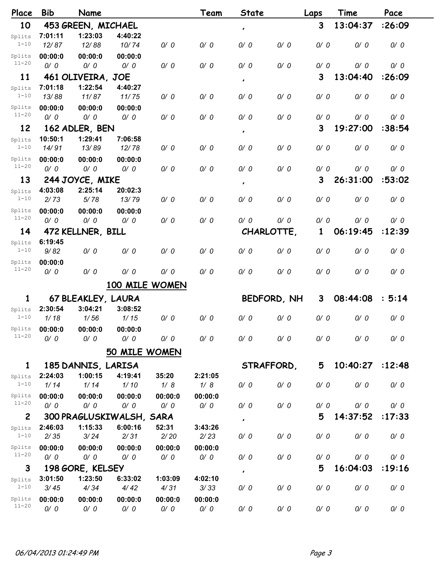| Place               | <b>Bib</b>      | Name                     |                 |                 | Team            | <b>State</b>  |             | Laps | Time     | Pace   |  |
|---------------------|-----------------|--------------------------|-----------------|-----------------|-----------------|---------------|-------------|------|----------|--------|--|
| 10                  |                 | 453 GREEN, MICHAEL       |                 |                 |                 | $\pmb{\cdot}$ |             | 3    | 13:04:37 | :26:09 |  |
| Splits              | 7:01:11         | 1:23:03                  | 4:40:22         |                 |                 |               |             |      |          |        |  |
| $1 - 10$            | 12/87           | 12/88                    | 10/74           | 0/0             | 0/0             | 0/0           | 0/0         | 0/0  | 0/0      | 0/0    |  |
| Splits              | 00:00:0         | 00:00:0                  | 00:00:0         |                 |                 |               |             |      |          |        |  |
| $11 - 20$           | 0/0             | 0/0                      | 0/0             | 0/0             | 0/0             | 0/0           | 0/0         | 0/0  | 0/0      | 0/0    |  |
| 11                  |                 | 461 OLIVEIRA, JOE        |                 |                 |                 | $\pmb{\cdot}$ |             | 3    | 13:04:40 | :26:09 |  |
| Splits              | 7:01:18         | 1:22:54                  | 4:40:27         |                 |                 |               |             |      |          |        |  |
| $1 - 10$            | 13/88           | 11/87                    | 11/75           | 0/0             | 0/0             | 0/0           | 0/0         | 0/0  | 0/0      | 0/0    |  |
| Splits              | 00:00:0         | 00:00:0                  | 00:00:0         |                 |                 |               |             |      |          |        |  |
| $11 - 20$           | 0/0             | 0/0                      | 0/0             | 0/0             | 0/0             | 0/0           | 0/0         | 0/0  | 0/0      | 0/0    |  |
| 12                  |                 | 162 ADLER, BEN           |                 |                 |                 | $\pmb{\cdot}$ |             | 3    | 19:27:00 | :38:54 |  |
| Splits              | 10:50:1         | 1:29:41                  | 7:06:58         |                 |                 |               |             |      |          |        |  |
| $1 - 10$            | 14/91           | 13/89                    | 12/78           | 0/0             | 0/0             | 0/0           | 0/0         | 0/0  | 0/0      | 0/0    |  |
| Splits              | 00:00:0         | 00:00:0                  | 00:00:0         |                 |                 |               |             |      |          |        |  |
| $11 - 20$           | 0/0             | 0/0                      | 0/0             | 0/0             | 0/0             | 0/0           | 0/0         | 0/0  | 0/0      | 0/0    |  |
| 13                  |                 | 244 JOYCE, MIKE          |                 |                 |                 | $\pmb{\cdot}$ |             | 3    | 26:31:00 | :53:02 |  |
| Splits              | 4:03:08         | 2:25:14                  | 20:02:3         |                 |                 |               |             |      |          |        |  |
| $1 - 10$            | 2/73            | 5/78                     | 13/79           | 0/0             | 0/0             | 0/0           | 0/0         | 0/0  | 0/0      | 0/0    |  |
| Splits              | 00:00:0         | 00:00:0                  | 00:00:0         |                 |                 |               |             |      |          |        |  |
| $11 - 20$           | 0/0             | 0/0                      | 0/0             | 0/0             | 0/0             | 0/0           | 0/0         | 0/0  | 0/0      | 0/0    |  |
| 14                  |                 | 472 KELLNER, BILL        |                 |                 |                 |               | CHARLOTTE,  | 1    | 06:19:45 | :12:39 |  |
| Splits              | 6:19:45         |                          |                 |                 |                 |               |             |      |          |        |  |
| $1 - 10$            | 9/82            | 0/0                      | 0/0             | 0/0             | 0/0             | 0/0           | 0/0         | 0/0  | 0/0      | 0/0    |  |
| Splits              | 00:00:0         |                          |                 |                 |                 |               |             |      |          |        |  |
| $11 - 20$           | 0/0             | 0/0                      | 0/0             | 0/0             | 0/0             | 0/0           | 0/0         | 0/0  | 0/0      | 0/0    |  |
|                     |                 |                          |                 | 100 MILE WOMEN  |                 |               |             |      |          |        |  |
| 1                   |                 | 67 BLEAKLEY, LAURA       |                 |                 |                 |               | BEDFORD, NH | 3    | 08:44:08 | : 5:14 |  |
| Splits              | 2:30:54         | 3:04:21                  | 3:08:52         |                 |                 |               |             |      |          |        |  |
| $1 - 10$            | 1/18            | 1/56                     | 1/15            | 0/0             | 0/0             | 0/0           | 0/0         | 0/0  | 0/0      | 0/0    |  |
| Splits              | 00:00:0         | 00:00:0                  | 00:00:0         |                 |                 |               |             |      |          |        |  |
| $11 - 20$           | 0/0             | 0/0                      | 0/0             | 0/0             | 0/0             | 0/0           | 0/0         | 0/0  | 0/0      | 0/0    |  |
|                     |                 |                          | 50 MILE WOMEN   |                 |                 |               |             |      |          |        |  |
|                     |                 |                          |                 |                 |                 |               |             |      |          |        |  |
| $\mathbf{1}$        |                 | 185 DANNIS, LARISA       |                 |                 |                 |               | STRAFFORD,  | 5    | 10:40:27 | :12:48 |  |
| Splits<br>$1 - 10$  | 2:24:03<br>1/14 | 1:00:15<br>1/14          | 4:19:41<br>1/10 | 35:20<br>1/8    | 2:21:05<br>1/8  | 0/0           | 0/0         | 0/0  | 0/0      | 0/0    |  |
|                     |                 |                          |                 |                 |                 |               |             |      |          |        |  |
| Splits<br>$11 - 20$ | 00:00:0<br>0/0  | 00:00:0<br>0/0           | 00:00:0         | 00:00:0<br>0/0  | 00:00:0<br>0/0  | 0/0           | 0/0         |      |          | 0/0    |  |
|                     |                 |                          | 0/0             |                 |                 |               |             | 0/0  | 0/0      |        |  |
| $\overline{c}$      |                 | 300 PRAGLUSKIWALSH, SARA |                 |                 |                 | $\pmb{\cdot}$ |             | 5    | 14:37:52 | :17:33 |  |
| Splits<br>$1 - 10$  | 2:46:03<br>2/35 | 1:15:33<br>3/24          | 6:00:16<br>2/31 | 52:31<br>$2/20$ | 3:43:26<br>2/23 | 0/0           | 0/0         | 0/0  | 0/0      | 0/0    |  |
|                     |                 |                          |                 |                 |                 |               |             |      |          |        |  |
| Splits<br>$11 - 20$ | 00:00:0<br>0/0  | 00:00:0                  | 00:00:0         | 00:00:0<br>0/0  | 00:00:0<br>0/0  | 0/0           | 0/0         |      |          |        |  |
|                     |                 | 0/0                      | 0/0             |                 |                 |               |             | 0/0  | 0/0      | 0/0    |  |
| 3                   |                 | 198 GORE, KELSEY         |                 |                 |                 | $\pmb{\cdot}$ |             | 5    | 16:04:03 | :19:16 |  |
| Splits<br>$1 - 10$  | 3:01:50         | 1:23:50                  | 6:33:02         | 1:03:09         | 4:02:10         |               | 0/0         | 0/0  | 0/0      | 0/0    |  |
|                     | 3/45            | 4/34                     | 4/42            | 4/31            | 3/33            | 0/0           |             |      |          |        |  |
| Splits<br>$11 - 20$ | 00:00:0         | 00:00:0                  | 00:00:0         | 00:00:0         | 00:00:0         |               |             |      |          |        |  |
|                     | 0/0             | 0/0                      | 0/0             | 0/0             | 0/0             | 0/0           | 0/0         | 0/0  | 0/0      | 0/0    |  |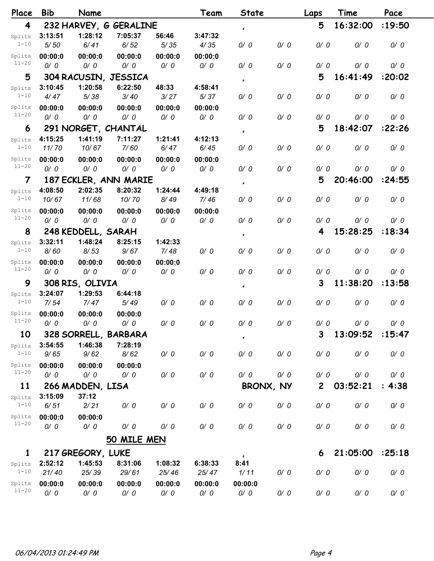| Place     | <b>Bib</b> | Name                 |                        |         | Team    | <b>State</b>  |     | Laps         | Time     | Pace   |
|-----------|------------|----------------------|------------------------|---------|---------|---------------|-----|--------------|----------|--------|
| 4         |            |                      | 232 HARVEY, G GERALINE |         |         | $\pmb{\cdot}$ |     | 5            | 16:32:00 | :19:50 |
| Splits    | 3:13:51    | 1:28:12              | 7:05:37                | 56:46   | 3:47:32 |               |     |              |          |        |
| $1 - 10$  | $5/50$     | 6/41                 | 6/52                   | 5/35    | 4/35    | 0/0           | 0/0 | 0/0          | 0/0      | 0/0    |
| Splits    | 00:00:0    | 00:00:0              | 00:00:0                | 00:00:0 | 00:00:0 |               |     |              |          |        |
| $11 - 20$ | 0/0        | 0/0                  | 0/0                    | 0/0     | 0/0     | 0/0           | 0/0 | 0/0          | 0/0      | 0/0    |
| 5         |            |                      | 304 RACUSIN, JESSICA   |         |         | $\pmb{\cdot}$ |     | 5            | 16:41:49 | :20:02 |
| Splits    | 3:10:45    | 1:20:58              | 6:22:50                | 48:33   | 4:58:41 |               |     |              |          |        |
| $1 - 10$  | 4/47       | 5/38                 | 3/40                   | 3/27    | 5/37    | 0/0           | 0/0 | 0/0          | 0/0      | 0/0    |
| Splits    | 00:00:0    | 00:00:0              | 00:00:0                | 00:00:0 | 00:00:0 |               |     |              |          |        |
| $11 - 20$ | 0/0        | 0/0                  | 0/0                    | 0/0     | 0/0     | 0/0           | 0/0 | 0/0          | 0/0      | 0/0    |
| 6         |            | 291 NORGET, CHANTAL  |                        |         |         | $\pmb{\cdot}$ |     | 5            | 18:42:07 | :22:26 |
| Splits    | 4:15:25    | 1:41:19              | 7:11:27                | 1:21:41 | 4:12:13 |               |     |              |          |        |
| $1 - 10$  | 11/70      | 10/67                | 7/60                   | 6/47    | 6/45    | 0/0           | 0/0 | 0/0          | 0/0      | 0/0    |
| Splits    | 00:00:0    | 00:00:0              | 00:00:0                | 00:00:0 | 00:00:0 |               |     |              |          |        |
| $11 - 20$ | 0/0        | 0/0                  | 0/0                    | 0/0     | 0/0     | 0/0           | 0/0 | 0/0          | 0/0      | 0/0    |
| 7         |            |                      | 187 ECKLER, ANN MARIE  |         |         | $\pmb{\cdot}$ |     | 5            | 20:46:00 | :24:55 |
| Splits    | 4:08:50    | 2:02:35              | 8:20:32                | 1:24:44 | 4:49:18 |               |     |              |          |        |
| $1 - 10$  | 10/67      | 11/68                | 10/70                  | 8/49    | 7/46    | 0/0           | 0/0 | 0/0          | 0/0      | 0/0    |
| Splits    | 00:00:0    | 00:00:0              | 00:00:0                | 00:00:0 | 00:00:0 |               |     |              |          |        |
| $11 - 20$ | 0/0        | 0/0                  | 0/0                    | 0/0     | 0/0     | 0/0           | 0/0 | 0/0          | 0/0      | 0/0    |
| 8         |            | 248 KEDDELL, SARAH   |                        |         |         | $\pmb{\cdot}$ |     | 4            | 15:28:25 | :18:34 |
| Splits    | 3:32:11    | 1:48:24              | 8:25:15                | 1:42:33 |         |               |     |              |          |        |
| $1 - 10$  | 8/60       | 8/53                 | 9/67                   | 7/48    | 0/0     | 0/0           | 0/0 | 0/0          | 0/0      | 0/0    |
| Splits    | 00:00:0    | 00:00:0              | 00:00:0                | 00:00:0 |         |               |     |              |          |        |
| $11 - 20$ | 0/0        | 0/0                  | 0/0                    | 0/0     | 0/0     | 0/0           | 0/0 | 0/0          | 0/0      | 0/0    |
| 9         |            | 308 RIS, OLIVIA      |                        |         |         | $\pmb{\cdot}$ |     | 3            | 11:38:20 | :13:58 |
| Splits    | 3:24:07    | 1:29:53              | 6:44:18                |         |         |               |     |              |          |        |
| $1 - 10$  | 7/54       | 7/47                 | 5/49                   | 0/0     | 0/0     | 0/0           | 0/0 | 0/0          | 0/0      | 0/0    |
| Splits    | 00:00:0    | 00:00:0              | 00:00:0                |         |         |               |     |              |          |        |
| $11 - 20$ | 0/0        | 0/0                  | 0/0                    | 0/0     | 0/0     | 0/0           | 0/0 | 0/0          | 0/0      | 0/0    |
| 10        |            | 328 SORRELL, BARBARA |                        |         |         | $\pmb{\cdot}$ |     | 3            | 13:09:52 | :15:47 |
| Splits    | 3:54:55    | 1:46:38              | 7:28:19                |         |         |               |     |              |          |        |
| $1 - 10$  | 9/65       | 9/62                 | 8/62                   | 0/0     | 0/0     | 0/0           | 0/0 | 0/0          | 0/0      | 0/0    |
| Splits    | 00:00:0    | 00:00:0              | 00:00:0                |         |         |               |     |              |          |        |
| $11 - 20$ | 0/0        | 0/0                  | 0/0                    | 0/0     | 0/0     | 0/0           | 0/0 | 0/0          | 0/0      | 0/0    |
| 11        |            | 266 MADDEN, LISA     |                        |         |         | BRONX, NY     |     | $\mathbf{2}$ | 03:52:21 | : 4:38 |
| Splits    | 3:15:09    | 37:12                |                        |         |         |               |     |              |          |        |
| $1 - 10$  | 6/51       | 2/21                 | 0/0                    | 0/0     | 0/0     | 0/0           | 0/0 | 0/0          | 0/0      | 0/0    |
| Splits    | 00:00:0    | 00:00:0              |                        |         |         |               |     |              |          |        |
| $11 - 20$ | 0/0        | 0/0                  | 0/0                    | 0/0     | 0/0     | 0/0           | 0/0 | 0/0          | 0/0      | 0/0    |
|           |            |                      | 50 MILE MEN            |         |         |               |     |              |          |        |
| 1         |            | 217 GREGORY, LUKE    |                        |         |         | $\bullet$     |     | 6            | 21:05:00 | :25:18 |
| Splits    | 2:52:12    | 1:45:53              | 8:31:06                | 1:08:32 | 6:38:33 | 8:41          |     |              |          |        |
| $1 - 10$  | 21/40      | 25/39                | 29/61                  | 25/46   | 25/47   | 1/11          | 0/0 | 0/0          | 0/0      | 0/0    |
| Splits    | 00:00:0    | 00:00:0              | 00:00:0                | 00:00:0 | 00:00:0 | 00:00:0       |     |              |          |        |
| $11 - 20$ | 0/0        | 0/0                  | 0/0                    | 0/0     | 0/0     | 0/0           | 0/0 | 0/0          | 0/0      | 0/0    |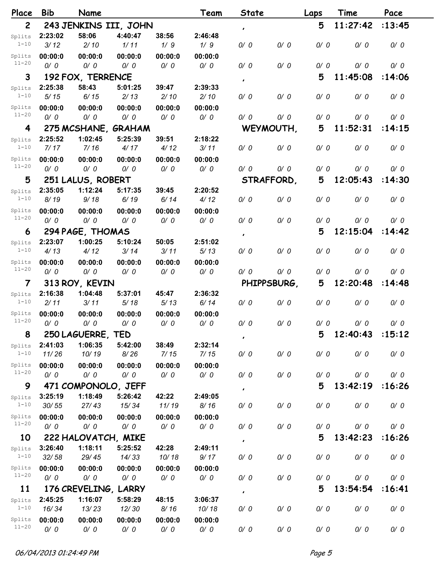| Place               | <b>Bib</b>       | Name                        |                       |                | Team             | <b>State</b>  |             | Laps | Time            | Pace   |
|---------------------|------------------|-----------------------------|-----------------------|----------------|------------------|---------------|-------------|------|-----------------|--------|
| $\mathbf{2}$        |                  |                             | 243 JENKINS III, JOHN |                |                  | $\pmb{\cdot}$ |             | 5    | 11:27:42        | :13:45 |
| Splits              | 2:23:02          | 58:06                       | 4:40:47               | 38:56          | 2:46:48          |               |             |      |                 |        |
| $1 - 10$            | 3/12             | 2/10                        | 1/11                  | 1/9            | 1/9              | 0/0           | 0/0         | 0/0  | 0/0             | 0/0    |
| Splits              | 00:00:0          | 00:00:0                     | 00:00:0               | 00:00:0        | 00:00:0          |               |             |      |                 |        |
| $11 - 20$           | 0/0              | 0/0                         | 0/0                   | 0/0            | 0/0              | 0/0           | 0/0         | 0/0  | 0/0             | 0/0    |
| 3                   |                  | 192 FOX, TERRENCE           |                       |                |                  | $\pmb{\cdot}$ |             | 5    | 11:45:08        | :14:06 |
| Splits              | 2:25:38          | 58:43                       | 5:01:25               | 39:47          | 2:39:33          |               |             |      |                 |        |
| $1 - 10$            | 5/15             | 6/15                        | 2/13                  | 2/10           | 2/10             | 0/0           | 0/0         | 0/0  | 0/0             | 0/0    |
| Splits              | 00:00:0          | 00:00:0                     | 00:00:0               | 00:00:0        | 00:00:0          |               |             |      |                 |        |
| $11 - 20$           | 0/0              | 0/0                         | 0/0                   | 0/0            | 0/0              | 0/0           | 0/0         | 0/0  | 0/0             | 0/0    |
| 4                   |                  |                             | 275 MCSHANE, GRAHAM   |                |                  |               | WEYMOUTH,   | 5    | 11:52:31        | :14:15 |
| Splits              | 2:25:52          | 1:02:45                     | 5:25:39               | 39:51          | 2:18:22          |               |             |      |                 |        |
| $1 - 10$            | 7/17             | 7/16                        | 4/17                  | 4/12           | 3/11             | 0/0           | 0/0         | 0/0  | 0/0             | 0/0    |
| Splits<br>$11 - 20$ | 00:00:0          | 00:00:0                     | 00:00:0               | 00:00:0        | 00:00:0          |               |             |      |                 |        |
|                     | 0/0              | 0/0                         | 0/0                   | 0/0            | 0/0              | 0/0           | 0/0         | 0/0  | 0/0             | 0/0    |
| 5                   |                  | 251 LALUS, ROBERT           |                       |                |                  | STRAFFORD.    |             | 5    | 12:05:43        | :14:30 |
| Splits<br>$1 - 10$  | 2:35:05<br>8/19  | 1:12:24<br>9/18             | 5:17:35<br>6/19       | 39:45<br>6/14  | 2:20:52<br>4/12  | 0/0           | 0/0         | 0/0  | 0/0             | 0/0    |
|                     |                  |                             |                       |                |                  |               |             |      |                 |        |
| Splits<br>$11 - 20$ | 00:00:0<br>0/0   | 00:00:0<br>0/0              | 00:00:0<br>0/0        | 00:00:0<br>0/0 | 00:00:0<br>0/0   | 0/0           | 0/0         | 0/0  | 0/0             | 0/0    |
|                     |                  |                             |                       |                |                  |               |             | 5    | 12:15:04        | :14:42 |
| 6                   | 2:23:07          | 294 PAGE, THOMAS<br>1:00:25 | 5:10:24               | 50:05          | 2:51:02          | $\pmb{\cdot}$ |             |      |                 |        |
| Splits<br>$1 - 10$  | 4/13             | 4/12                        | 3/14                  | 3/11           | 5/13             | 0/0           | 0/0         | 0/0  | 0/0             | 0/0    |
| Splits              | 00:00:0          | 00:00:0                     | 00:00:0               | 00:00:0        | 00:00:0          |               |             |      |                 |        |
| $11 - 20$           | 0/0              | 0/0                         | 0/0                   | 0/0            | 0/0              | 0/0           | 0/0         | 0/0  | 0/0             | 0/0    |
| $\overline{7}$      |                  | 313 ROY, KEVIN              |                       |                |                  |               | PHIPPSBURG, | 5    | 12:20:48        | :14:48 |
| Splits              | 2:16:38          | 1:04:48                     | 5:37:01               | 45:47          | 2:36:32          |               |             |      |                 |        |
| $1 - 10$            | 2/11             | 3/11                        | 5/18                  | 5/13           | 6/14             | 0/0           | 0/0         | 0/0  | 0/0             | 0/0    |
| Splits              | 00:00:0          | 00:00:0                     | 00:00:0               | 00:00:0        | 00:00:0          |               |             |      |                 |        |
| $11 - 20$           | O/ O             | $\alpha$ 0/0                | $O$ / $O$             | $O$ / $O$      | O/O              | O/ O          | 0/0         | 0/0  | 0/0             | O/ O   |
| 8                   |                  | 250 LAGUERRE, TED           |                       |                |                  | $\pmb{\cdot}$ |             | 5    | 12:40:43 :15:12 |        |
| Splits              | 2:41:03          | 1:06:35                     | 5:42:00               | 38:49          | 2:32:14          |               |             |      |                 |        |
| $1 - 10$            | 11/26            | 10/19                       | 8/26                  | 7/15           | 7/15             | 0/0           | 0/0         | 0/0  | 0/0             | 0/0    |
| Splits              | 00:00:0          | 00:00:0                     | 00:00:0               | 00:00:0        | 00:00:0          |               |             |      |                 |        |
| $11 - 20$           | 0/0              | 0/0                         | 0/0                   | 0/0            | 0/0              | 0/0           | 0/0         | 0/0  | 0/0             | 0/0    |
| 9                   |                  | 471 COMPONOLO, JEFF         |                       |                |                  | $\pmb{\cdot}$ |             | 5    | 13:42:19        | :16:26 |
| Splits              | 3:25:19          | 1:18:49                     | 5:26:42               | 42:22          | 2:49:05          |               |             |      |                 |        |
| $1 - 10$            | 30/55            | 27/43                       | 15/34                 | 11/19          | 8/16             | 0/0           | 0/0         | 0/0  | 0/0             | 0/0    |
| Splits<br>$11 - 20$ | 00:00:0          | 00:00:0                     | 00:00:0               | 00:00:0        | 00:00:0          |               |             |      |                 |        |
|                     | 0/0              | 0/0                         | 0/0                   | 0/0            | 0/0              | 0/0           | 0/0         | 0/0  | 0/0             | 0/0    |
| 10                  |                  | 222 HALOVATCH, MIKE         |                       |                |                  | $\pmb{\cdot}$ |             | 5    | 13:42:23        | :16:26 |
| Splits<br>$1 - 10$  | 3:26:40          | 1:18:11                     | 5:25:52               | 42:28          | 2:49:11          |               |             |      |                 |        |
|                     | 32/58            | 29/45                       | 14/33                 | 10/18          | 9/17             | 0/0           | 0/0         | 0/0  | 0/0             | 0/0    |
| Splits<br>$11 - 20$ | 00:00:0          | 00:00:0                     | 00:00:0               | 00:00:0        | 00:00:0          |               |             |      |                 |        |
|                     | 0/0              | 0/0                         | 0/0                   | 0/0            | 0/0              | 0/0           | 0/0         | 0/0  | 0/0             | 0/0    |
| 11                  |                  | 176 CREVELING, LARRY        |                       |                |                  | $\pmb{\cdot}$ |             | 5    | 13:54:54        | :16:41 |
| Splits<br>$1 - 10$  | 2:45:25<br>16/34 | 1:16:07<br>13/23            | 5:58:29<br>12/30      | 48:15<br>8/16  | 3:06:37<br>10/18 | 0/0           | 0/0         | 0/0  | 0/0             | 0/0    |
| Splits              | 00:00:0          | 00:00:0                     | 00:00:0               | 00:00:0        | 00:00:0          |               |             |      |                 |        |
| $11 - 20$           | 0/0              | 0/0                         | 0/0                   | 0/0            | 0/0              | 0/0           | 0/0         | 0/0  | 0/0             | 0/0    |
|                     |                  |                             |                       |                |                  |               |             |      |                 |        |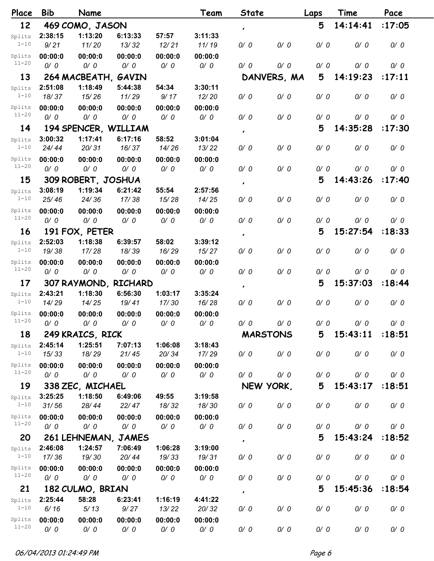| Place               | <b>Bib</b>       | Name                 |                         |                         | Team             | State           |             | Laps | Time     | Pace   |
|---------------------|------------------|----------------------|-------------------------|-------------------------|------------------|-----------------|-------------|------|----------|--------|
| 12                  |                  | 469 COMO, JASON      |                         |                         |                  | $\pmb{\cdot}$   |             | 5    | 14:14:41 | :17:05 |
| Splits              | 2:38:15          | 1:13:20              | 6:13:33                 | 57:57                   | 3:11:33          |                 |             |      |          |        |
| $1 - 10$            | 9/21             | 11/20                | 13/32                   | 12/21                   | 11/19            | 0/0             | 0/0         | 0/0  | 0/0      | 0/0    |
| Splits              | 00:00:0          | 00:00:0              | 00:00:0                 | 00:00:0                 | 00:00:0          |                 |             |      |          |        |
| $11 - 20$           | 0/0              | 0/0                  | 0/0                     | 0/0                     | 0/0              | 0/0             | 0/0         | 0/0  | 0/0      | 0/0    |
| 13                  |                  | 264 MACBEATH,        | GAVIN                   |                         |                  |                 | DANVERS, MA | 5    | 14:19:23 | :17:11 |
| Splits              | 2:51:08          | 1:18:49              | 5:44:38                 | 54:34                   | 3:30:11          |                 |             |      |          |        |
| $1 - 10$            | 18/37            | 15/26                | 11/29                   | 9/17                    | 12/20            | 0/0             | 0/0         | 0/0  | 0/0      | 0/0    |
| Splits              | 00:00:0          | 00:00:0              | 00:00:0                 | 00:00:0                 | 00:00:0          |                 |             |      |          |        |
| $11 - 20$           | 0/0              | 0/0                  | 0/0                     | 0/0                     | 0/0              | 0/0             | 0/0         | 0/0  | 0/0      | 0/0    |
| 14                  |                  | 194 SPENCER, WILLIAM |                         |                         |                  | $\pmb{\prime}$  |             | 5    | 14:35:28 | :17:30 |
| Splits              | 3:00:32          | 1:17:41              | 6:17:16                 | 58:52                   | 3:01:04          |                 |             |      |          |        |
| $1 - 10$            | 24/44            | 20/31                | 16/37                   | 14/26                   | 13/22            | 0/0             | 0/0         | 0/0  | 0/0      | 0/0    |
| Splits              | 00:00:0          | 00:00:0              | 00:00:0                 | 00:00:0                 | 00:00:0          |                 |             |      |          |        |
| $11 - 20$           | 0/0              | 0/0                  | 0/0                     | 0/0                     | 0/0              | 0/0             | 0/0         | 0/0  | 0/0      | 0/0    |
| 15                  |                  | 309 ROBERT, JOSHUA   |                         |                         |                  | $\pmb{\prime}$  |             | 5    | 14:43:26 | :17:40 |
| Splits              | 3:08:19          | 1:19:34              | 6:21:42                 | 55:54                   | 2:57:56          |                 |             |      |          |        |
| $1 - 10$            | 25/46            | 24/36                | 17/38                   | 15/28                   | 14/25            | 0/0             | 0/0         | 0/0  | 0/0      | 0/0    |
| Splits<br>$11 - 20$ | 00:00:0          | 00:00:0              | 00:00:0                 | 00:00:0                 | 00:00:0          |                 |             |      |          |        |
|                     | 0/0              | 0/0                  | 0/0                     | 0/0                     | 0/0              | 0/0             | 0/0         | 0/0  | 0/0      | 0/0    |
| <b>16</b>           |                  | 191 FOX, PETER       |                         |                         |                  | $\pmb{\prime}$  |             | 5    | 15:27:54 | :18:33 |
| Splits              | 2:52:03          | 1:18:38              | 6:39:57                 | 58:02                   | 3:39:12          |                 |             |      |          |        |
| $1 - 10$            | 19/38            | 17/28                | 18/39                   | 16/29                   | 15/27            | 0/0             | 0/0         | 0/0  | 0/0      | 0/0    |
| Splits<br>$11 - 20$ | 00:00:0          | 00:00:0              | 00:00:0                 | 00:00:0                 | 00:00:0          |                 |             |      |          |        |
|                     | 0/0              | 0/0                  | 0/0                     | 0/0                     | 0/0              | 0/0             | 0/0         | 0/0  | 0/0      | 0/0    |
| 17                  |                  | 307 RAYMOND, RICHARD |                         |                         |                  | $\pmb{\prime}$  |             | 5    | 15:37:03 | :18:44 |
| Splits<br>$1 - 10$  | 2:43:21<br>14/29 | 1:18:30<br>14/25     | 6:56:30<br>19/41        | 1:03:17<br>17/30        | 3:35:24<br>16/28 | 0/0             | 0/0         | 0/0  | 0/0      | 0/0    |
| Splits              |                  |                      |                         |                         | 00:00:0          |                 |             |      |          |        |
| $11 - 20$           | 00:00:0<br>0/0   | 00:00:0<br>$O/$ 0    | 00:00:0<br>$\alpha$ 0/0 | 00:00:0<br>$\alpha$ 0/0 | $O$ / $O$        | 0/0             | 0/0         | 0/0  | 0/0      | 0/0    |
| 18                  |                  | 249 KRAICS, RICK     |                         |                         |                  | <b>MARSTONS</b> |             | 5    | 15:43:11 | :18:51 |
|                     | 2:45:14          | 1:25:51              | 7:07:13                 | 1:06:08                 | 3:18:43          |                 |             |      |          |        |
| Splits<br>$1 - 10$  | 15/33            | 18/29                | 21/45                   | 20/34                   | 17/29            | 0/0             | 0/0         | 0/0  | 0/0      | 0/0    |
| Splits              | 00:00:0          | 00:00:0              | 00:00:0                 | 00:00:0                 | 00:00:0          |                 |             |      |          |        |
| $11 - 20$           | 0/0              | 0/0                  | 0/0                     | 0/0                     | 0/0              | 0/0             | 0/0         | 0/0  | 0/0      | 0/0    |
| 19                  |                  | 338 ZEC, MICHAEL     |                         |                         |                  | NEW YORK,       |             | 5    | 15:43:17 | :18:51 |
| Splits              | 3:25:25          | 1:18:50              | 6:49:06                 | 49:55                   | 3:19:58          |                 |             |      |          |        |
| $1 - 10$            | 31/56            | 28/44                | 22/47                   | 18/32                   | 18/30            | 0/0             | 0/0         | 0/0  | 0/0      | 0/0    |
| Splits              | 00:00:0          | 00:00:0              | 00:00:0                 | 00:00:0                 | 00:00:0          |                 |             |      |          |        |
| $11 - 20$           | 0/0              | 0/0                  | 0/0                     | 0/0                     | 0/0              | 0/0             | 0/0         | 0/0  | 0/0      | 0/0    |
| 20                  |                  | 261 LEHNEMAN, JAMES  |                         |                         |                  |                 |             | 5    | 15:43:24 | :18:52 |
| Splits              | 2:46:08          | 1:24:57              | 7:06:49                 | 1:06:28                 | 3:19:00          | $\pmb{\cdot}$   |             |      |          |        |
| $1 - 10$            | 17/36            | 19/30                | 20/44                   | 19/33                   | 19/31            | 0/0             | 0/0         | 0/0  | 0/0      | 0/0    |
| Splits              | 00:00:0          | 00:00:0              | 00:00:0                 | 00:00:0                 | 00:00:0          |                 |             |      |          |        |
| $11 - 20$           | 0/0              | 0/0                  | 0/0                     | 0/0                     | 0/0              | 0/0             | 0/0         | 0/0  | 0/0      | 0/0    |
| 21                  |                  | 182 CULMO, BRIAN     |                         |                         |                  |                 |             | 5    | 15:45:36 | :18:54 |
| Splits              | 2:25:44          | 58:28                | 6:23:41                 | 1:16:19                 | 4:41:22          | $\pmb{\cdot}$   |             |      |          |        |
| $1 - 10$            | 6/16             | 5/13                 | 9/27                    | 13/22                   | 20/32            | 0/0             | 0/0         | 0/0  | 0/0      | 0/0    |
| Splits              | 00:00:0          | 00:00:0              | 00:00:0                 | 00:00:0                 | 00:00:0          |                 |             |      |          |        |
| $11 - 20$           | 0/0              | 0/0                  | 0/0                     | 0/0                     | 0/0              | 0/0             | 0/0         | 0/0  | 0/0      | 0/0    |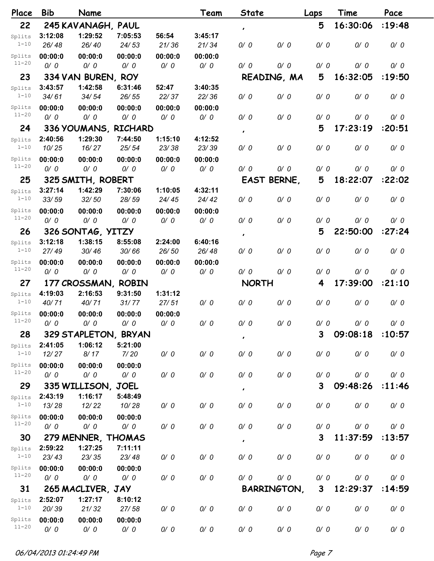| Place               | <b>Bib</b>       | Name                          |                      |         | Team    | State          |                    | Laps | Time     | Pace   |
|---------------------|------------------|-------------------------------|----------------------|---------|---------|----------------|--------------------|------|----------|--------|
| 22                  |                  | 245 KAVANAGH, PAUL            |                      |         |         | $\pmb{\cdot}$  |                    | 5    | 16:30:06 | :19:48 |
| Splits              | 3:12:08          | 1:29:52                       | 7:05:53              | 56:54   | 3:45:17 |                |                    |      |          |        |
| $1 - 10$            | 26/48            | 26/40                         | 24/53                | 21/36   | 21/34   | 0/0            | 0/0                | 0/0  | 0/0      | 0/0    |
| Splits              | 00:00:0          | 00:00:0                       | 00:00:0              | 00:00:0 | 00:00:0 |                |                    |      |          |        |
| $11 - 20$           | 0/0              | 0/0                           | 0/0                  | 0/0     | 0/0     | 0/0            | 0/0                | 0/0  | 0/0      | 0/0    |
| 23                  |                  | 334 VAN BUREN,                | <b>ROY</b>           |         |         |                | READING, MA        | 5    | 16:32:05 | :19:50 |
| Splits              | 3:43:57          | 1:42:58                       | 6:31:46              | 52:47   | 3:40:35 |                |                    |      |          |        |
| $1 - 10$            | 34/61            | 34/54                         | 26/55                | 22/37   | 22/36   | 0/0            | 0/0                | 0/0  | 0/0      | 0/0    |
| Splits              | 00:00:0          | 00:00:0                       | 00:00:0              | 00:00:0 | 00:00:0 |                |                    |      |          |        |
| $11 - 20$           | 0/0              | 0/0                           | 0/0                  | 0/0     | 0/0     | 0/0            | 0/0                | 0/0  | 0/0      | 0/0    |
| 24                  |                  |                               | 336 YOUMANS, RICHARD |         |         | $\pmb{\prime}$ |                    | 5    | 17:23:19 | :20:51 |
| Splits              | 2:40:56          | 1:29:30                       | 7:44:50              | 1:15:10 | 4:12:52 |                |                    |      |          |        |
| $1 - 10$            | 10/25            | 16/27                         | 25/54                | 23/38   | 23/39   | 0/0            | 0/0                | 0/0  | 0/0      | 0/0    |
| Splits              | 00:00:0          | 00:00:0                       | 00:00:0              | 00:00:0 | 00:00:0 |                |                    |      |          |        |
| $11 - 20$           | 0/0              | 0/0                           | 0/0                  | 0/0     | 0/0     | 0/0            | 0/0                | 0/0  | 0/0      | 0/0    |
| 25                  |                  | 325 SMITH, ROBERT             |                      |         |         |                | EAST BERNE,        | 5    | 18:22:07 | :22:02 |
| Splits              | 3:27:14          | 1:42:29                       | 7:30:06              | 1:10:05 | 4:32:11 |                |                    |      |          |        |
| $1 - 10$            | 33/59            | 32/50                         | 28/59                | 24/45   | 24/42   | 0/0            | 0/0                | 0/0  | 0/0      | 0/0    |
| Splits              | 00:00:0          | 00:00:0                       | 00:00:0              | 00:00:0 | 00:00:0 |                |                    |      |          |        |
| $11 - 20$           | 0/0              | 0/0                           | 0/0                  | 0/0     | 0/0     | 0/0            | 0/0                | 0/0  | 0/0      | 0/0    |
| 26                  |                  | 326 SONTAG, YITZY             |                      |         |         | $\pmb{\cdot}$  |                    | 5    | 22:50:00 | :27:24 |
| Splits              | 3:12:18          | 1:38:15                       | 8:55:08              | 2:24:00 | 6:40:16 |                |                    |      |          |        |
| $1 - 10$            | 27/49            | 30/46                         | 30/66                | 26/50   | 26/48   | 0/0            | 0/0                | 0/0  | 0/0      | 0/0    |
| Splits<br>$11 - 20$ | 00:00:0          | 00:00:0                       | 00:00:0              | 00:00:0 | 00:00:0 |                |                    |      |          |        |
|                     | 0/0              | 0/0                           | 0/0                  | 0/0     | 0/0     | 0/0            | 0/0                | 0/0  | 0/0      | 0/0    |
| 27                  |                  | 177 CROSSMAN, ROBIN           |                      |         |         | <b>NORTH</b>   |                    | 4    | 17:39:00 | :21:10 |
| Splits              | 4:19:03          | 2:16:53                       | 9:31:50              | 1:31:12 |         |                |                    |      |          |        |
| $1 - 10$            | 40/71            | 40/71                         | 31/77                | 27/51   | 0/0     | 0/0            | 0/0                | 0/0  | 0/0      | 0/0    |
| Splits<br>$11 - 20$ | 00:00:0          | 00:00:0                       | 00:00:0              | 00:00:0 |         |                |                    |      |          |        |
|                     | 0/0              | 0/0                           | O/ O                 | O/O     | 0/0     | 0/0            | 0/0                | 0/0  | 0/0      | 0/0    |
| 28                  |                  |                               | 329 STAPLETON, BRYAN |         |         | $\pmb{\prime}$ |                    | 3    | 09:08:18 | :10:57 |
| Splits<br>$1 - 10$  | 2:41:05          | 1:06:12                       | 5:21:00              |         |         |                |                    |      |          |        |
|                     | 12/27            | 8/17                          | 7/20                 | 0/0     | 0/0     | 0/0            | 0/0                | 0/0  | 0/0      | 0/0    |
| Splits<br>$11 - 20$ | 00:00:0          | 00:00:0                       | 00:00:0              |         |         |                | 0/0                |      |          |        |
|                     | 0/0              | 0/0                           | 0/0                  | 0/0     | 0/0     | 0/0            |                    | 0/0  | 0/0      | 0/0    |
| 29                  |                  | 335 WILLISON, JOEL            |                      |         |         | $\pmb{\cdot}$  |                    | 3    | 09:48:26 | :11:46 |
| Splits<br>$1 - 10$  | 2:43:19<br>13/28 | 1:16:17<br>12/22              | 5:48:49<br>10/28     | 0/0     | 0/0     | 0/0            | 0/0                | 0/0  | 0/0      | 0/0    |
| Splits              |                  |                               |                      |         |         |                |                    |      |          |        |
| $11 - 20$           | 00:00:0<br>0/0   | 00:00:0<br>0/0                | 00:00:0<br>0/0       | 0/0     | 0/0     | 0/0            | 0/0                | 0/0  | 0/0      | 0/0    |
| 30                  |                  |                               |                      |         |         |                |                    | 3    | 11:37:59 | :13:57 |
|                     | 2:59:22          | 279 MENNER, THOMAS<br>1:27:25 | 7:11:11              |         |         | $\pmb{\prime}$ |                    |      |          |        |
| Splits<br>$1 - 10$  | 23/43            | 23/35                         | 23/48                | 0/0     | 0/0     | 0/0            | 0/0                | 0/0  | 0/0      | 0/0    |
| Splits              | 00:00:0          | 00:00:0                       | 00:00:0              |         |         |                |                    |      |          |        |
| $11 - 20$           | 0/0              | 0/0                           | 0/0                  | 0/0     | 0/0     | 0/0            | 0/0                | 0/0  | 0/0      | 0/0    |
| 31                  |                  | 265 MACLIVER, JAY             |                      |         |         |                | <b>BARRINGTON,</b> | 3    | 12:29:37 | :14:59 |
| Splits              | 2:52:07          | 1:27:17                       | 8:10:12              |         |         |                |                    |      |          |        |
| $1 - 10$            | 20/39            | 21/32                         | 27/58                | 0/0     | 0/0     | 0/0            | 0/0                | 0/0  | 0/0      | 0/0    |
| Splits              | 00:00:0          | 00:00:0                       | 00:00:0              |         |         |                |                    |      |          |        |
| $11 - 20$           | 0/0              | 0/0                           | 0/0                  | 0/0     | 0/0     | 0/0            | 0/0                | 0/0  | 0/0      | 0/0    |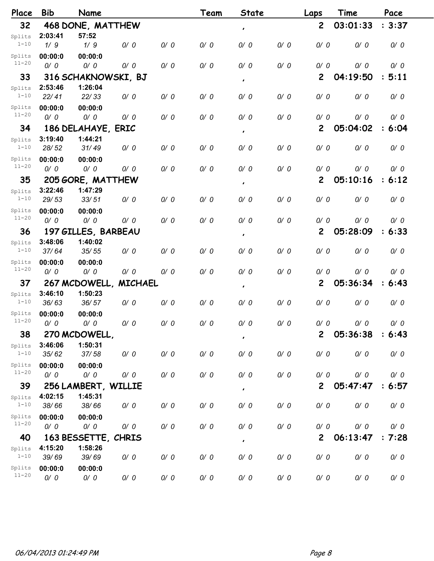| Place     | <b>Bib</b> | Name                |                |     | Team | <b>State</b>   |     | Laps           | Time     | Pace   |
|-----------|------------|---------------------|----------------|-----|------|----------------|-----|----------------|----------|--------|
| 32        |            | 468 DONE, MATTHEW   |                |     |      | $\pmb{\cdot}$  |     | $\overline{2}$ | 03:01:33 | : 3:37 |
| Splits    | 2:03:41    | 57:52               |                |     |      |                |     |                |          |        |
| $1 - 10$  | 1/9        | 1/9                 | 0/0            | 0/0 | 0/0  | 0/0            | 0/0 | 0/0            | 0/0      | 0/0    |
| Splits    | 00:00:0    | 00:00:0             |                |     |      |                |     |                |          |        |
| $11 - 20$ | 0/0        | 0/0                 | 0/0            | 0/0 | 0/0  | 0/0            | 0/0 | 0/0            | 0/0      | 0/0    |
| 33        |            | 316 SCHAKNOWSKI, BJ |                |     |      | $\pmb{\cdot}$  |     | $\mathbf{2}$   | 04:19:50 | : 5:11 |
| Splits    | 2:53:46    | 1:26:04             |                |     |      |                |     |                |          |        |
| $1 - 10$  | 22/41      | 22/33               | 0/0            | 0/0 | 0/0  | 0/0            | 0/0 | 0/0            | 0/0      | 0/0    |
| Splits    | 00:00:0    | 00:00:0             |                |     |      |                |     |                |          |        |
| $11 - 20$ | 0/0        | 0/0                 | 0/0            | 0/0 | 0/0  | 0/0            | 0/0 | 0/0            | 0/0      | 0/0    |
| 34        |            | 186 DELAHAYE, ERIC  |                |     |      | $\pmb{\cdot}$  |     | $\mathbf{2}$   | 05:04:02 | : 6:04 |
| Splits    | 3:19:40    | 1:44:21             |                |     |      |                |     |                |          |        |
| $1 - 10$  | 28/52      | 31/49               | 0/0            | 0/0 | 0/0  | 0/0            | 0/0 | 0/0            | 0/0      | 0/0    |
| Splits    | 00:00:0    | 00:00:0             |                |     |      |                |     |                |          |        |
| $11 - 20$ | 0/0        | 0/0                 | 0/0            | 0/0 | 0/0  | 0/0            | 0/0 | 0/0            | 0/0      | 0/0    |
| 35        |            | 205 GORE, MATTHEW   |                |     |      | $\pmb{\cdot}$  |     | $\mathbf{2}$   | 05:10:16 | : 6:12 |
| Splits    | 3:22:46    | 1:47:29             |                |     |      |                |     |                |          |        |
| $1 - 10$  | 29/53      | 33/51               | 0/0            | 0/0 | 0/0  | 0/0            | 0/0 | 0/0            | 0/0      | 0/0    |
| Splits    | 00:00:0    | 00:00:0             |                |     |      |                |     |                |          |        |
| $11 - 20$ | 0/0        | 0/0                 | 0/0            | 0/0 | 0/0  | 0/0            | 0/0 | 0/0            | 0/0      | 0/0    |
| 36        |            | 197 GILLES, BARBEAU |                |     |      | $\pmb{\cdot}$  |     | $\overline{2}$ | 05:28:09 | : 6:33 |
| Splits    | 3:48:06    | 1:40:02             |                |     |      |                |     |                |          |        |
| $1 - 10$  | 37/64      | 35/55               | 0/0            | 0/0 | 0/0  | 0/0            | 0/0 | 0/0            | 0/0      | 0/0    |
| Splits    | 00:00:0    | 00:00:0             |                |     |      |                |     |                |          |        |
| $11 - 20$ | 0/0        | 0/0                 | 0/0            | 0/0 | 0/0  | 0/0            | 0/0 | 0/0            | 0/0      | 0/0    |
| 37        |            | 267 MCDOWELL.       | <b>MICHAEL</b> |     |      | $\pmb{\cdot}$  |     | $\overline{2}$ | 05:36:34 | : 6:43 |
| Splits    | 3:46:10    | 1:50:23             |                |     |      |                |     |                |          |        |
| $1 - 10$  | 36/63      | 36/57               | 0/0            | 0/0 | 0/0  | 0/0            | 0/0 | 0/0            | 0/0      | 0/0    |
| Splits    | 00:00:0    | 00:00:0             |                |     |      |                |     |                |          |        |
| $11 - 20$ | 0/0        | $O/$ 0              | 0/0            | 0/0 | 0/0  | 0/0            | 0/0 | 0/0            | 0/0      | 0/0    |
| 38        |            | 270 MCDOWELL        |                |     |      | $\pmb{\cdot}$  |     | $\mathbf{2}$   | 05:36:38 | : 6:43 |
| Splits    | 3:46:06    | 1:50:31             |                |     |      |                |     |                |          |        |
| $1 - 10$  | 35/62      | 37/58               | 0/0            | 0/0 | 0/0  | 0/0            | 0/0 | 0/0            | 0/0      | 0/0    |
| Splits    | 00:00:0    | 00:00:0             |                |     |      |                |     |                |          |        |
| $11 - 20$ | 0/0        | 0/0                 | 0/0            | 0/0 | 0/0  | 0/0            | 0/0 | 0/0            | 0/0      | 0/0    |
| 39        |            | 256 LAMBERT, WILLIE |                |     |      | $\pmb{\cdot}$  |     | $\mathbf{2}$   | 05:47:47 | : 6:57 |
| Splits    | 4:02:15    | 1:45:31             |                |     |      |                |     |                |          |        |
| $1 - 10$  | 38/66      | 38/66               | 0/0            | 0/0 | 0/0  | 0/0            | 0/0 | 0/0            | 0/0      | 0/0    |
| Splits    | 00:00:0    | 00:00:0             |                |     |      |                |     |                |          |        |
| $11 - 20$ | 0/0        | 0/0                 | 0/0            | 0/0 | 0/0  | 0/0            | 0/0 | 0/0            | 0/0      | 0/0    |
| 40        |            | 163 BESSETTE, CHRIS |                |     |      | $\pmb{\prime}$ |     | $\mathbf{2}$   | 06:13:47 | : 7:28 |
| Splits    | 4:15:20    | 1:58:26             |                |     |      |                |     |                |          |        |
| $1 - 10$  | 39/69      | 39/69               | 0/0            | 0/0 | 0/0  | 0/0            | 0/0 | 0/0            | 0/0      | 0/0    |
| Splits    | 00:00:0    | 00:00:0             |                |     |      |                |     |                |          |        |
| $11 - 20$ | 0/0        | 0/0                 | 0/0            | 0/0 | 0/0  | 0/0            | 0/0 | 0/0            | 0/0      | 0/0    |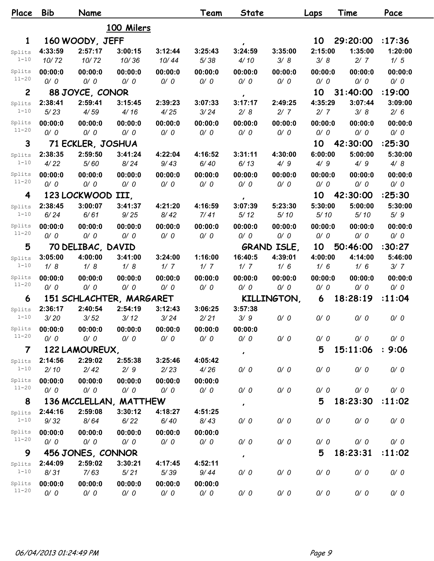| Place          | <b>Bib</b> | Name                     |            |         | Team    | State         |                    | Laps    | Time     | Pace    |
|----------------|------------|--------------------------|------------|---------|---------|---------------|--------------------|---------|----------|---------|
|                |            |                          | 100 Milers |         |         |               |                    |         |          |         |
| 1              |            | 160 WOODY, JEFF          |            |         |         | $\pmb{\cdot}$ |                    | 10      | 29:20:00 | :17:36  |
| Splits         | 4:33:59    | 2:57:17                  | 3:00:15    | 3:12:44 | 3:25:43 | 3:24:59       | 3:35:00            | 2:15:00 | 1:35:00  | 1:20:00 |
| $1 - 10$       | 10/72      | 10/72                    | 10/36      | 10/44   | 5/38    | 4/10          | 3/8                | 3/8     | 2/7      | 1/5     |
| Splits         | 00:00:0    | 00:00:0                  | 00:00:0    | 00:00:0 | 00:00:0 | 00:00:0       | 00:00:0            | 00:00:0 | 00:00:0  | 00:00:0 |
| $11 - 20$      | 0/0        | 0/0                      | 0/0        | 0/0     | 0/0     | 0/0           | 0/0                | 0/0     | 0/0      | 0/0     |
| $\overline{c}$ |            | 88 JOYCE, CONOR          |            |         |         | $\pmb{\cdot}$ |                    | 10      | 31:40:00 | :19:00  |
| Splits         | 2:38:41    | 2:59:41                  | 3:15:45    | 2:39:23 | 3:07:33 | 3:17:17       | 2:49:25            | 4:35:29 | 3:07:44  | 3:09:00 |
| $1 - 10$       | 5/23       | 4/59                     | 4/16       | 4/25    | 3/24    | 2/8           | 2/7                | 2/7     | 3/8      | 2/6     |
| Splits         | 00:00:0    | 00:00:0                  | 00:00:0    | 00:00:0 | 00:00:0 | 00:00:0       | 00:00:0            | 00:00:0 | 00:00:0  | 00:00:0 |
| $11 - 20$      | 0/0        | 0/0                      | 0/0        | 0/0     | 0/0     | 0/0           | 0/0                | 0/0     | 0/0      | 0/0     |
| 3              |            | 71 ECKLER, JOSHUA        |            |         |         |               |                    | 10      | 42:30:00 | :25:30  |
| Splits         | 2:38:35    | 2:59:50                  | 3:41:24    | 4:22:04 | 4:16:52 | 3:31:11       | 4:30:00            | 6:00:00 | 5:00:00  | 5:30:00 |
| $1 - 10$       | 4/22       | 5/60                     | 8/24       | 9/43    | 6/40    | 6/13          | 4/9                | 4/9     | 4/9      | 4/8     |
| Splits         | 00:00:0    | 00:00:0                  | 00:00:0    | 00:00:0 | 00:00:0 | 00:00:0       | 00:00:0            | 00:00:0 | 00:00:0  | 00:00:0 |
| $11 - 20$      | 0/0        | 0/0                      | 0/0        | 0/0     | 0/0     | 0/0           | 0/0                | 0/0     | 0/0      | 0/0     |
| 4              |            | 123 LOCKWOOD             | III,       |         |         | $\pmb{\cdot}$ |                    | 10      | 42:30:00 | :25:30  |
| Splits         | 2:38:45    | 3:00:07                  | 3:41:37    | 4:21:20 | 4:16:59 | 3:07:39       | 5:23:30            | 5:30:00 | 5:00:00  | 5:30:00 |
| $1 - 10$       | 6/24       | 6/61                     | 9/25       | 8/42    | 7/41    | 5/12          | 5/10               | 5/10    | 5/10     | 5/9     |
| Splits         | 00:00:0    | 00:00:0                  | 00:00:0    | 00:00:0 | 00:00:0 | 00:00:0       | 00:00:0            | 00:00:0 | 00:00:0  | 00:00:0 |
| $11 - 20$      | 0/0        | 0/0                      | 0/0        | 0/0     | 0/0     | 0/0           | 0/0                | 0/0     | 0/0      | 0/0     |
| 5              |            | 70 DELIBAC, DAVID        |            |         |         |               | <b>GRAND ISLE,</b> | 10      | 50:46:00 | :30:27  |
| Splits         | 3:05:00    | 4:00:00                  | 3:41:00    | 3:24:00 | 1:16:00 | 16:40:5       | 4:39:01            | 4:00:00 | 4:14:00  | 5:46:00 |
| $1 - 10$       | 1/8        | 1/8                      | 1/8        | 1/7     | 1/7     | 1/7           | 1/6                | 1/6     | 1/6      | 3/7     |
| Splits         | 00:00:0    | 00:00:0                  | 00:00:0    | 00:00:0 | 00:00:0 | 00:00:0       | 00:00:0            | 00:00:0 | 00:00:0  | 00:00:0 |
| $11 - 20$      | 0/0        | 0/0                      | 0/0        | 0/0     | 0/0     | 0/0           | 0/0                | 0/0     | 0/0      | 0/0     |
| 6              |            | 151 SCHLACHTER, MARGARET |            |         |         |               | KILLINGTON,        | 6       | 18:28:19 | : 11:04 |
| Splits         | 2:36:17    | 2:40:54                  | 2:54:19    | 3:12:43 | 3:06:25 | 3:57:38       |                    |         |          |         |
| $1 - 10$       | 3/20       | 3/52                     | 3/12       | 3/24    | 2/21    | 3/9           | 0/0                | 0/0     | 0/0      | 0/0     |
| Splits         | 00:00:0    | 00:00:0                  | 00:00:0    | 00:00:0 | 00:00:0 | 00:00:0       |                    |         |          |         |
| $11 - 20$      | 0/0        | 0/0                      | 0/0        | 0/0     | 0/0     | 0/0           | 0/0                | 0/0     | 0/0      | 0/0     |
| $\overline{7}$ |            | 122 LAMOUREUX,           |            |         |         | $\pmb{\cdot}$ |                    | 5       | 15:11:06 | : 9:06  |
| Splits         | 2:14:56    | 2:29:02                  | 2:55:38    | 3:25:46 | 4:05:42 |               |                    |         |          |         |
| $1 - 10$       | 2/10       | 2/42                     | 2/9        | 2/23    | 4/26    | 0/0           | 0/0                | 0/0     | 0/0      | 0/0     |
| Splits         | 00:00:0    | 00:00:0                  | 00:00:0    | 00:00:0 | 00:00:0 |               |                    |         |          |         |
| $11 - 20$      | 0/0        | 0/0                      | 0/0        | 0/0     | 0/0     | 0/0           | 0/0                | 0/0     | 0/0      | 0/0     |
| 8              |            | 136 MCCLELLAN, MATTHEW   |            |         |         | $\pmb{\cdot}$ |                    | 5       | 18:23:30 | :11:02  |
| Splits         | 2:44:16    | 2:59:08                  | 3:30:12    | 4:18:27 | 4:51:25 |               |                    |         |          |         |
| $1 - 10$       | 9/32       | 8/64                     | 6/22       | 6/40    | 8/43    | 0/0           | 0/0                | 0/0     | 0/0      | 0/0     |
| Splits         | 00:00:0    | 00:00:0                  | 00:00:0    | 00:00:0 | 00:00:0 |               |                    |         |          |         |
| $11 - 20$      | 0/0        | 0/0                      | 0/0        | 0/0     | 0/0     | 0/0           | 0/0                | 0/0     | 0/0      | 0/0     |
| 9              |            | 456 JONES, CONNOR        |            |         |         |               |                    | 5       | 18:23:31 | :11:02  |
| Splits         | 2:44:09    | 2:59:02                  | 3:30:21    | 4:17:45 | 4:52:11 | $\pmb{\cdot}$ |                    |         |          |         |
| $1 - 10$       | 8/31       | 7/63                     | 5/21       | 5/39    | 9/44    | 0/0           | 0/0                | 0/0     | 0/0      | 0/0     |
| Splits         | 00:00:0    | 00:00:0                  | 00:00:0    | 00:00:0 | 00:00:0 |               |                    |         |          |         |
| $11 - 20$      | 0/0        | 0/0                      | 0/0        | 0/0     | 0/0     | 0/0           | 0/0                | 0/0     | 0/0      | 0/0     |